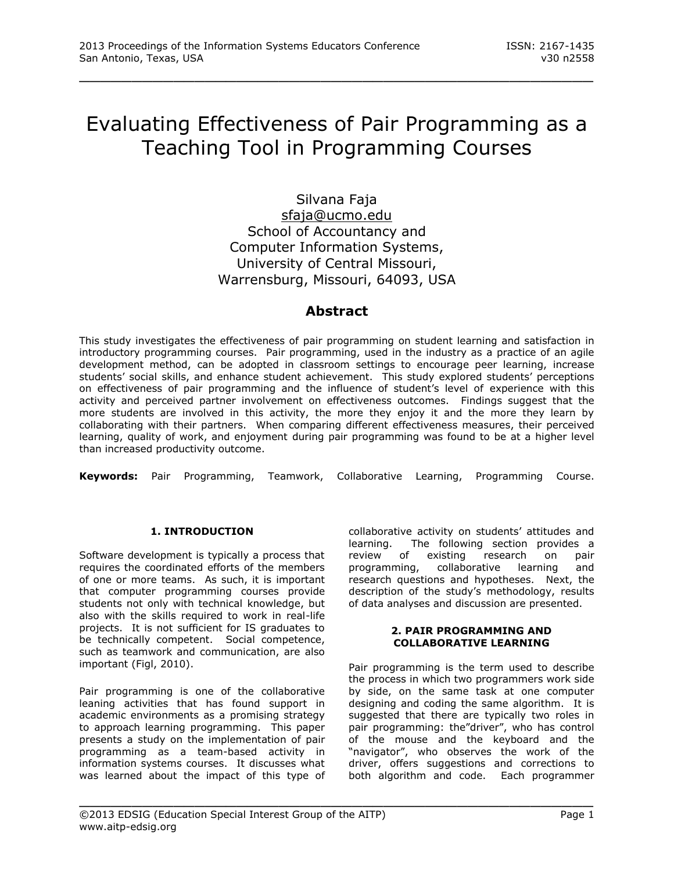# Evaluating Effectiveness of Pair Programming as a Teaching Tool in Programming Courses

\_\_\_\_\_\_\_\_\_\_\_\_\_\_\_\_\_\_\_\_\_\_\_\_\_\_\_\_\_\_\_\_\_\_\_\_\_\_\_\_\_\_\_\_\_\_\_\_\_

Silvana Faja [sfaja@ucmo.edu](mailto:sfaja@ucmo.edu) School of Accountancy and Computer Information Systems, University of Central Missouri, Warrensburg, Missouri, 64093, USA

# **Abstract**

This study investigates the effectiveness of pair programming on student learning and satisfaction in introductory programming courses. Pair programming, used in the industry as a practice of an agile development method, can be adopted in classroom settings to encourage peer learning, increase students' social skills, and enhance student achievement. This study explored students' perceptions on effectiveness of pair programming and the influence of student's level of experience with this activity and perceived partner involvement on effectiveness outcomes. Findings suggest that the more students are involved in this activity, the more they enjoy it and the more they learn by collaborating with their partners. When comparing different effectiveness measures, their perceived learning, quality of work, and enjoyment during pair programming was found to be at a higher level than increased productivity outcome.

**Keywords:** Pair Programming, Teamwork, Collaborative Learning, Programming Course.

\_\_\_\_\_\_\_\_\_\_\_\_\_\_\_\_\_\_\_\_\_\_\_\_\_\_\_\_\_\_\_\_\_\_\_\_\_\_\_\_\_\_\_\_\_\_\_\_\_

# **1. INTRODUCTION**

Software development is typically a process that requires the coordinated efforts of the members of one or more teams. As such, it is important that computer programming courses provide students not only with technical knowledge, but also with the skills required to work in real-life projects. It is not sufficient for IS graduates to be technically competent. Social competence, such as teamwork and communication, are also important (Figl, 2010).

Pair programming is one of the collaborative leaning activities that has found support in academic environments as a promising strategy to approach learning programming. This paper presents a study on the implementation of pair programming as a team-based activity in information systems courses. It discusses what was learned about the impact of this type of collaborative activity on students' attitudes and learning. The following section provides a review of existing research on pair programming, collaborative learning and research questions and hypotheses. Next, the description of the study's methodology, results of data analyses and discussion are presented.

#### **2. PAIR PROGRAMMING AND COLLABORATIVE LEARNING**

Pair programming is the term used to describe the process in which two programmers work side by side, on the same task at one computer designing and coding the same algorithm. It is suggested that there are typically two roles in pair programming: the"driver", who has control of the mouse and the keyboard and the "navigator", who observes the work of the driver, offers suggestions and corrections to both algorithm and code. Each programmer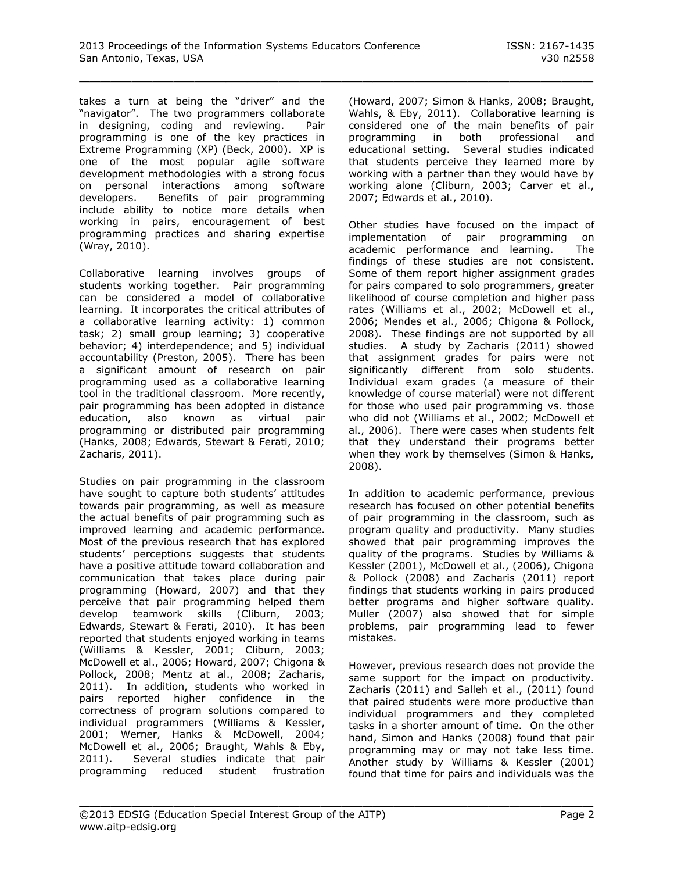takes a turn at being the "driver" and the "navigator". The two programmers collaborate in designing, coding and reviewing. Pair programming is one of the key practices in Extreme Programming (XP) (Beck, 2000). XP is one of the most popular agile software development methodologies with a strong focus on personal interactions among software developers. Benefits of pair programming include ability to notice more details when working in pairs, encouragement of best programming practices and sharing expertise (Wray, 2010).

Collaborative learning involves groups of students working together. Pair programming can be considered a model of collaborative learning. It incorporates the critical attributes of a collaborative learning activity: 1) common task; 2) small group learning; 3) cooperative behavior; 4) interdependence; and 5) individual accountability (Preston, 2005). There has been a significant amount of research on pair programming used as a collaborative learning tool in the traditional classroom. More recently, pair programming has been adopted in distance education, also known as virtual pair programming or distributed pair programming (Hanks, 2008; Edwards, Stewart & Ferati, 2010; Zacharis, 2011).

Studies on pair programming in the classroom have sought to capture both students' attitudes towards pair programming, as well as measure the actual benefits of pair programming such as improved learning and academic performance. Most of the previous research that has explored students' perceptions suggests that students have a positive attitude toward collaboration and communication that takes place during pair programming (Howard, 2007) and that they perceive that pair programming helped them develop teamwork skills (Cliburn, 2003; Edwards, Stewart & Ferati, 2010). It has been reported that students enjoyed working in teams (Williams & Kessler, 2001; Cliburn, 2003; McDowell et al., 2006; Howard, 2007; Chigona & Pollock, 2008; Mentz at al., 2008; Zacharis, 2011). In addition, students who worked in pairs reported higher confidence in the correctness of program solutions compared to individual programmers (Williams & Kessler, 2001; Werner, Hanks & McDowell, 2004; McDowell et al., 2006; Braught, Wahls & Eby, 2011). Several studies indicate that pair programming reduced student frustration (Howard, 2007; Simon & Hanks, 2008; Braught, Wahls, & Eby, 2011). Collaborative learning is considered one of the main benefits of pair programming in both professional and educational setting. Several studies indicated that students perceive they learned more by working with a partner than they would have by working alone (Cliburn, 2003; Carver et al., 2007; Edwards et al., 2010).

Other studies have focused on the impact of implementation of pair programming on academic performance and learning. The findings of these studies are not consistent. Some of them report higher assignment grades for pairs compared to solo programmers, greater likelihood of course completion and higher pass rates (Williams et al., 2002; McDowell et al., 2006; Mendes et al., 2006; Chigona & Pollock, 2008). These findings are not supported by all studies. A study by Zacharis (2011) showed that assignment grades for pairs were not significantly different from solo students. Individual exam grades (a measure of their knowledge of course material) were not different for those who used pair programming vs. those who did not (Williams et al., 2002; McDowell et al., 2006). There were cases when students felt that they understand their programs better when they work by themselves (Simon & Hanks, 2008).

In addition to academic performance, previous research has focused on other potential benefits of pair programming in the classroom, such as program quality and productivity. Many studies showed that pair programming improves the quality of the programs. Studies by Williams & Kessler (2001), McDowell et al., (2006), Chigona & Pollock (2008) and Zacharis (2011) report findings that students working in pairs produced better programs and higher software quality. Muller (2007) also showed that for simple problems, pair programming lead to fewer mistakes.

However, previous research does not provide the same support for the impact on productivity. Zacharis (2011) and Salleh et al., (2011) found that paired students were more productive than individual programmers and they completed tasks in a shorter amount of time. On the other hand, Simon and Hanks (2008) found that pair programming may or may not take less time. Another study by Williams & Kessler (2001) found that time for pairs and individuals was the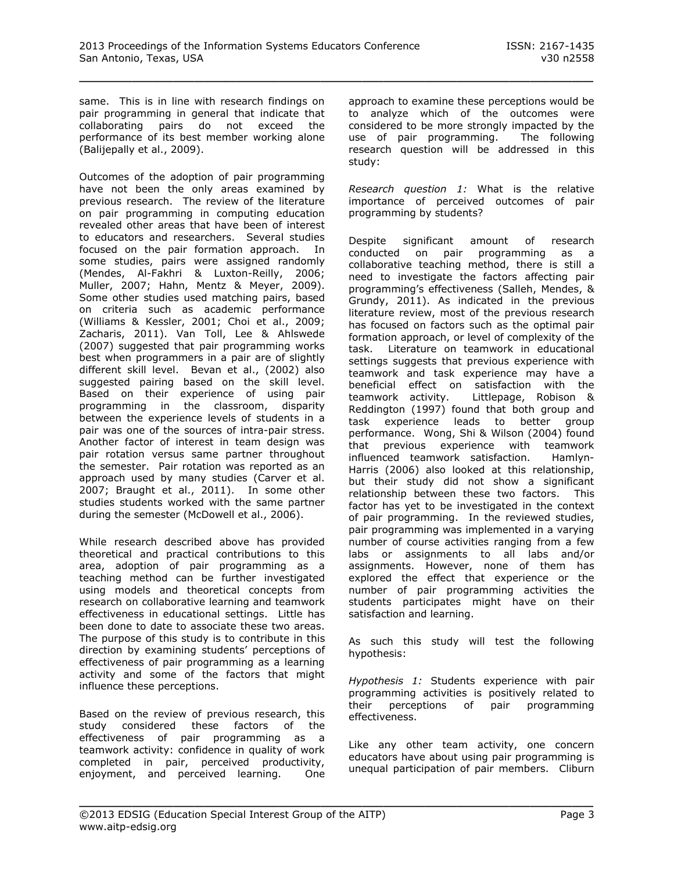same. This is in line with research findings on pair programming in general that indicate that collaborating pairs do not exceed the performance of its best member working alone (Balijepally et al., 2009).

Outcomes of the adoption of pair programming have not been the only areas examined by previous research. The review of the literature on pair programming in computing education revealed other areas that have been of interest to educators and researchers. Several studies focused on the pair formation approach. In some studies, pairs were assigned randomly (Mendes, Al-Fakhri & Luxton-Reilly, 2006; Muller, 2007; Hahn, Mentz & Meyer, 2009). Some other studies used matching pairs, based on criteria such as academic performance (Williams & Kessler, 2001; Choi et al., 2009; Zacharis, 2011). Van Toll, Lee & Ahlswede (2007) suggested that pair programming works best when programmers in a pair are of slightly different skill level. Bevan et al., (2002) also suggested pairing based on the skill level. Based on their experience of using pair programming in the classroom, disparity between the experience levels of students in a pair was one of the sources of intra-pair stress. Another factor of interest in team design was pair rotation versus same partner throughout the semester. Pair rotation was reported as an approach used by many studies (Carver et al. 2007; Braught et al., 2011). In some other studies students worked with the same partner during the semester (McDowell et al., 2006).

While research described above has provided theoretical and practical contributions to this area, adoption of pair programming as a teaching method can be further investigated using models and theoretical concepts from research on collaborative learning and teamwork effectiveness in educational settings. Little has been done to date to associate these two areas. The purpose of this study is to contribute in this direction by examining students' perceptions of effectiveness of pair programming as a learning activity and some of the factors that might influence these perceptions.

Based on the review of previous research, this study considered these factors of the effectiveness of pair programming as a teamwork activity: confidence in quality of work completed in pair, perceived productivity, enjoyment, and perceived learning. One

approach to examine these perceptions would be to analyze which of the outcomes were considered to be more strongly impacted by the use of pair programming. The following research question will be addressed in this study:

*Research question 1:* What is the relative importance of perceived outcomes of pair programming by students?

Despite significant amount of research conducted on pair programming as a collaborative teaching method, there is still a need to investigate the factors affecting pair programming's effectiveness (Salleh, Mendes, & Grundy, 2011). As indicated in the previous literature review, most of the previous research has focused on factors such as the optimal pair formation approach, or level of complexity of the task. Literature on teamwork in educational settings suggests that previous experience with teamwork and task experience may have a beneficial effect on satisfaction with the teamwork activity. Littlepage, Robison & Reddington (1997) found that both group and task experience leads to better group performance. Wong, Shi & Wilson (2004) found that previous experience with teamwork influenced teamwork satisfaction. Hamlyn-Harris (2006) also looked at this relationship, but their study did not show a significant relationship between these two factors. This factor has yet to be investigated in the context of pair programming. In the reviewed studies, pair programming was implemented in a varying number of course activities ranging from a few labs or assignments to all labs and/or assignments. However, none of them has explored the effect that experience or the number of pair programming activities the students participates might have on their satisfaction and learning.

As such this study will test the following hypothesis:

*Hypothesis 1:* Students experience with pair programming activities is positively related to their perceptions of pair programming effectiveness.

Like any other team activity, one concern educators have about using pair programming is unequal participation of pair members. Cliburn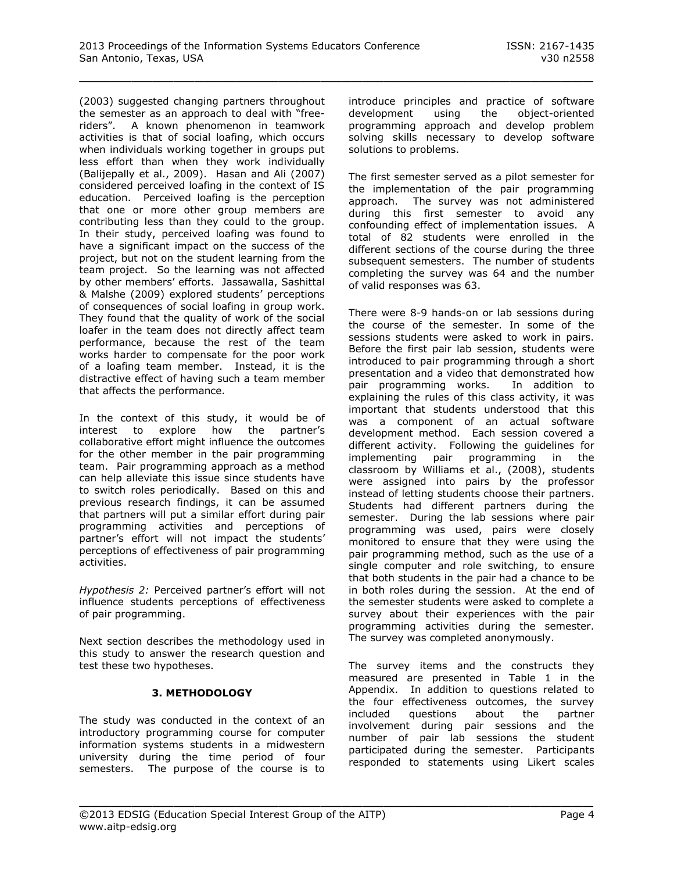(2003) suggested changing partners throughout the semester as an approach to deal with "freeriders". A known phenomenon in teamwork activities is that of social loafing, which occurs when individuals working together in groups put less effort than when they work individually (Balijepally et al., 2009). Hasan and Ali (2007) considered perceived loafing in the context of IS education. Perceived loafing is the perception that one or more other group members are contributing less than they could to the group. In their study, perceived loafing was found to have a significant impact on the success of the project, but not on the student learning from the team project. So the learning was not affected by other members' efforts. Jassawalla, Sashittal & Malshe (2009) explored students' perceptions of consequences of social loafing in group work. They found that the quality of work of the social loafer in the team does not directly affect team performance, because the rest of the team works harder to compensate for the poor work of a loafing team member. Instead, it is the distractive effect of having such a team member that affects the performance.

In the context of this study, it would be of interest to explore how the partner's collaborative effort might influence the outcomes for the other member in the pair programming team. Pair programming approach as a method can help alleviate this issue since students have to switch roles periodically. Based on this and previous research findings, it can be assumed that partners will put a similar effort during pair programming activities and perceptions of partner's effort will not impact the students' perceptions of effectiveness of pair programming activities.

*Hypothesis 2:* Perceived partner's effort will not influence students perceptions of effectiveness of pair programming.

Next section describes the methodology used in this study to answer the research question and test these two hypotheses.

# **3. METHODOLOGY**

The study was conducted in the context of an introductory programming course for computer information systems students in a midwestern university during the time period of four semesters. The purpose of the course is to

introduce principles and practice of software development using the object-oriented programming approach and develop problem solving skills necessary to develop software solutions to problems.

The first semester served as a pilot semester for the implementation of the pair programming approach. The survey was not administered during this first semester to avoid any confounding effect of implementation issues. A total of 82 students were enrolled in the different sections of the course during the three subsequent semesters. The number of students completing the survey was 64 and the number of valid responses was 63.

There were 8-9 hands-on or lab sessions during the course of the semester. In some of the sessions students were asked to work in pairs. Before the first pair lab session, students were introduced to pair programming through a short presentation and a video that demonstrated how pair programming works. In addition to explaining the rules of this class activity, it was important that students understood that this was a component of an actual software development method. Each session covered a different activity. Following the guidelines for implementing pair programming in the classroom by Williams et al., (2008), students were assigned into pairs by the professor instead of letting students choose their partners. Students had different partners during the semester. During the lab sessions where pair programming was used, pairs were closely monitored to ensure that they were using the pair programming method, such as the use of a single computer and role switching, to ensure that both students in the pair had a chance to be in both roles during the session. At the end of the semester students were asked to complete a survey about their experiences with the pair programming activities during the semester. The survey was completed anonymously.

The survey items and the constructs they measured are presented in Table 1 in the Appendix. In addition to questions related to the four effectiveness outcomes, the survey included questions about the partner involvement during pair sessions and the number of pair lab sessions the student participated during the semester. Participants responded to statements using Likert scales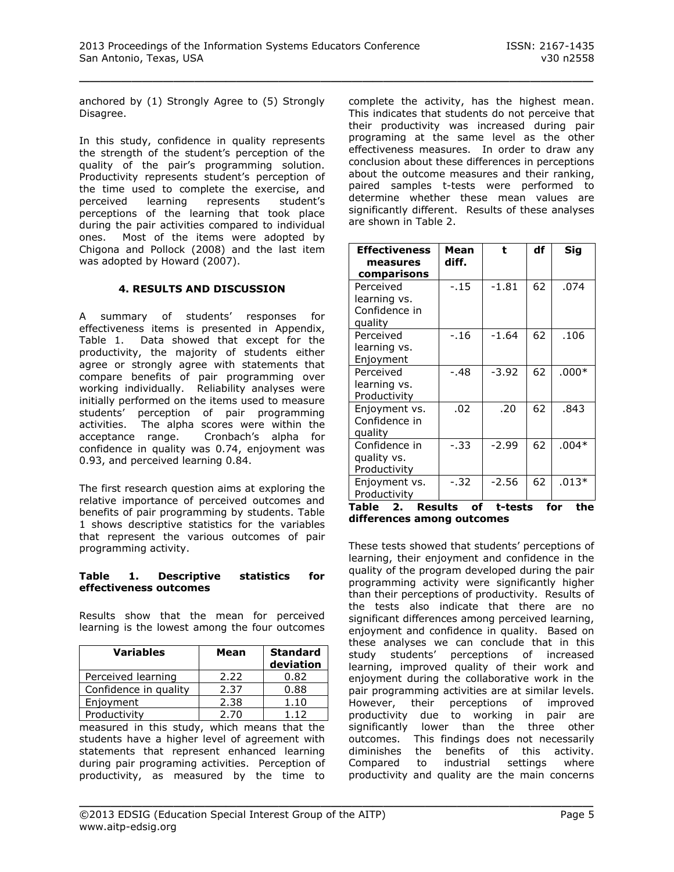anchored by (1) Strongly Agree to (5) Strongly Disagree.

In this study, confidence in quality represents the strength of the student's perception of the quality of the pair's programming solution. Productivity represents student's perception of the time used to complete the exercise, and perceived learning represents student's perceptions of the learning that took place during the pair activities compared to individual ones. Most of the items were adopted by Chigona and Pollock (2008) and the last item was adopted by Howard (2007).

#### **4. RESULTS AND DISCUSSION**

A summary of students' responses for effectiveness items is presented in Appendix, Table 1. Data showed that except for the productivity, the majority of students either agree or strongly agree with statements that compare benefits of pair programming over working individually. Reliability analyses were initially performed on the items used to measure students' perception of pair programming activities. The alpha scores were within the acceptance range. Cronbach's alpha for confidence in quality was 0.74, enjoyment was 0.93, and perceived learning 0.84.

The first research question aims at exploring the relative importance of perceived outcomes and benefits of pair programming by students. Table 1 shows descriptive statistics for the variables that represent the various outcomes of pair programming activity.

#### **Table 1. Descriptive statistics for effectiveness outcomes**

Results show that the mean for perceived learning is the lowest among the four outcomes

| <b>Variables</b>      | Mean | <b>Standard</b><br>deviation |
|-----------------------|------|------------------------------|
| Perceived learning    | 2.22 | 0.82                         |
| Confidence in quality | 2.37 | 0.88                         |
| Enjoyment             | 2.38 | 1.10                         |
| Productivity          | 2.70 | 112                          |

measured in this study, which means that the students have a higher level of agreement with statements that represent enhanced learning during pair programing activities. Perception of productivity, as measured by the time to complete the activity, has the highest mean. This indicates that students do not perceive that their productivity was increased during pair programing at the same level as the other effectiveness measures. In order to draw any conclusion about these differences in perceptions about the outcome measures and their ranking, paired samples t-tests were performed to determine whether these mean values are significantly different. Results of these analyses are shown in Table 2.

| <b>Effectiveness</b><br>measures<br>comparisons                | Mean<br>diff. | t                | df | Sig                   |
|----------------------------------------------------------------|---------------|------------------|----|-----------------------|
| Perceived<br>learning vs.<br>Confidence in<br>quality          | $-.15$        | $-1.81$          | 62 | .074                  |
| Perceived<br>learning vs.<br>Enjoyment                         | $-.16$        | $-1.64$          | 62 | .106                  |
| Perceived<br>learning vs.<br>Productivity                      | -.48          | $-3.92$          | 62 | $.000*$               |
| Enjoyment vs.<br>Confidence in<br>quality                      | .02           | .20              | 62 | .843                  |
| Confidence in<br>quality vs.<br>Productivity                   | $-.33$        | $-2.99$          | 62 | $.004*$               |
| Enjoyment vs.<br>Productivity<br><b>Results</b><br>Table<br>2. | $-.32$<br>of  | -2.56<br>t-tests | 62 | $.013*$<br>for<br>the |

**differences among outcomes**

These tests showed that students' perceptions of learning, their enjoyment and confidence in the quality of the program developed during the pair programming activity were significantly higher than their perceptions of productivity. Results of the tests also indicate that there are no significant differences among perceived learning, enjoyment and confidence in quality. Based on these analyses we can conclude that in this study students' perceptions of increased learning, improved quality of their work and enjoyment during the collaborative work in the pair programming activities are at similar levels. However, their perceptions of improved productivity due to working in pair are significantly lower than the three other outcomes. This findings does not necessarily diminishes the benefits of this activity. Compared to industrial settings where productivity and quality are the main concerns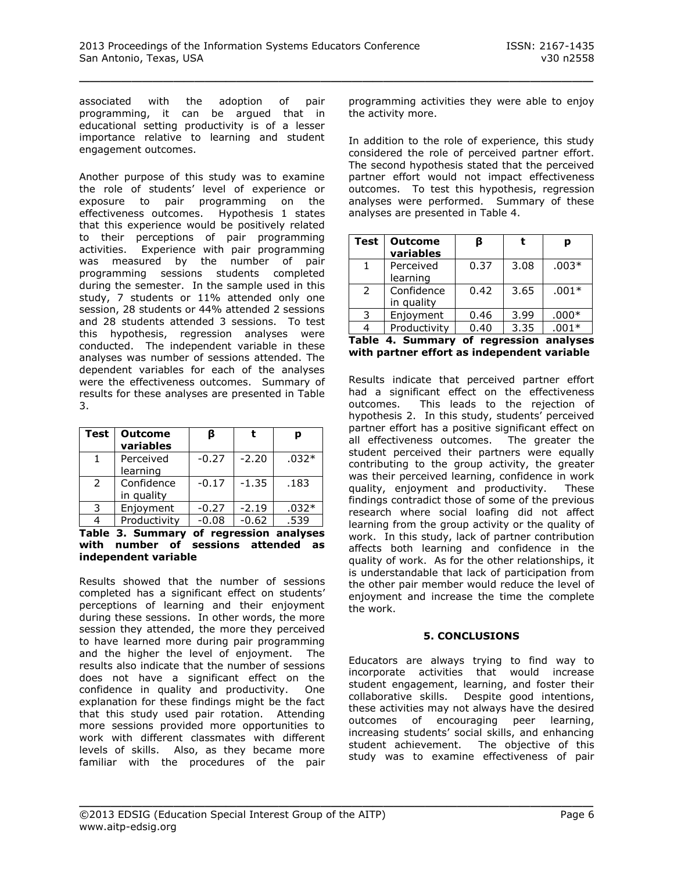associated with the adoption of pair programming, it can be argued that in educational setting productivity is of a lesser importance relative to learning and student engagement outcomes.

Another purpose of this study was to examine the role of students' level of experience or exposure to pair programming on the effectiveness outcomes. Hypothesis 1 states that this experience would be positively related to their perceptions of pair programming activities. Experience with pair programming was measured by the number of pair programming sessions students completed during the semester. In the sample used in this study, 7 students or 11% attended only one session, 28 students or 44% attended 2 sessions and 28 students attended 3 sessions. To test this hypothesis, regression analyses were conducted. The independent variable in these analyses was number of sessions attended. The dependent variables for each of the analyses were the effectiveness outcomes. Summary of results for these analyses are presented in Table 3.

| <b>Test</b>   | <b>Outcome</b><br>variables | ß       |         | р       |
|---------------|-----------------------------|---------|---------|---------|
|               | Perceived                   | $-0.27$ | $-2.20$ | $.032*$ |
|               | learning                    |         |         |         |
| $\mathcal{P}$ | Confidence                  | $-0.17$ | $-1.35$ | .183    |
|               | in quality                  |         |         |         |
| 3             | Enjoyment                   | $-0.27$ | $-2.19$ | $.032*$ |
|               | Productivity                | $-0.08$ | $-0.62$ | .539    |

**Table 3. Summary of regression analyses with number of sessions attended as independent variable** 

Results showed that the number of sessions completed has a significant effect on students' perceptions of learning and their enjoyment during these sessions. In other words, the more session they attended, the more they perceived to have learned more during pair programming and the higher the level of enjoyment. The results also indicate that the number of sessions does not have a significant effect on the confidence in quality and productivity. One explanation for these findings might be the fact that this study used pair rotation. Attending more sessions provided more opportunities to work with different classmates with different levels of skills. Also, as they became more familiar with the procedures of the pair

programming activities they were able to enjoy the activity more.

In addition to the role of experience, this study considered the role of perceived partner effort. The second hypothesis stated that the perceived partner effort would not impact effectiveness outcomes. To test this hypothesis, regression analyses were performed. Summary of these analyses are presented in Table 4.

| <b>Test</b>   | <b>Outcome</b><br>variables |      |      | р       |
|---------------|-----------------------------|------|------|---------|
| 1             | Perceived<br>learning       | 0.37 | 3.08 | $.003*$ |
| $\mathcal{L}$ | Confidence<br>in quality    | 0.42 | 3.65 | $.001*$ |
| 3             | Enjoyment                   | 0.46 | 3.99 | $.000*$ |
|               | Productivity                | 0.40 | 3.35 | $.001*$ |

|  |  |  | Table 4. Summary of regression analyses     |  |  |
|--|--|--|---------------------------------------------|--|--|
|  |  |  | with partner effort as independent variable |  |  |

Results indicate that perceived partner effort had a significant effect on the effectiveness outcomes. This leads to the rejection of hypothesis 2. In this study, students' perceived partner effort has a positive significant effect on all effectiveness outcomes. The greater the student perceived their partners were equally contributing to the group activity, the greater was their perceived learning, confidence in work quality, enjoyment and productivity. These findings contradict those of some of the previous research where social loafing did not affect learning from the group activity or the quality of work. In this study, lack of partner contribution affects both learning and confidence in the quality of work. As for the other relationships, it is understandable that lack of participation from the other pair member would reduce the level of enjoyment and increase the time the complete the work.

# **5. CONCLUSIONS**

Educators are always trying to find way to incorporate activities that would increase student engagement, learning, and foster their collaborative skills. Despite good intentions, these activities may not always have the desired outcomes of encouraging peer learning, increasing students' social skills, and enhancing student achievement. The objective of this study was to examine effectiveness of pair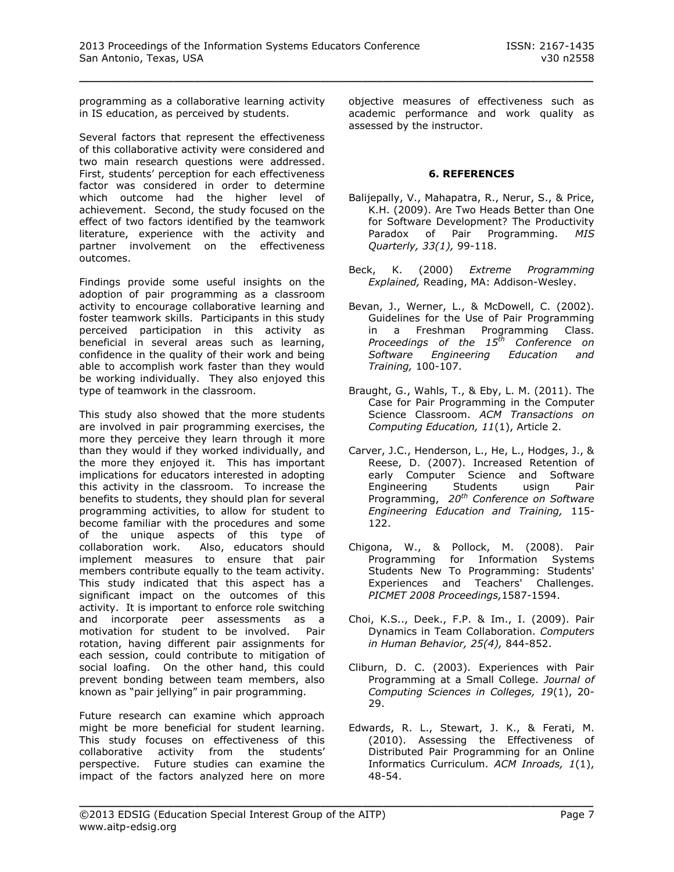programming as a collaborative learning activity in IS education, as perceived by students.

Several factors that represent the effectiveness of this collaborative activity were considered and two main research questions were addressed. First, students' perception for each effectiveness factor was considered in order to determine which outcome had the higher level of achievement. Second, the study focused on the effect of two factors identified by the teamwork literature, experience with the activity and partner involvement on the effectiveness outcomes.

Findings provide some useful insights on the adoption of pair programming as a classroom activity to encourage collaborative learning and foster teamwork skills. Participants in this study perceived participation in this activity as beneficial in several areas such as learning, confidence in the quality of their work and being able to accomplish work faster than they would be working individually. They also enjoyed this type of teamwork in the classroom.

This study also showed that the more students are involved in pair programming exercises, the more they perceive they learn through it more than they would if they worked individually, and the more they enjoyed it. This has important implications for educators interested in adopting this activity in the classroom. To increase the benefits to students, they should plan for several programming activities, to allow for student to become familiar with the procedures and some of the unique aspects of this type of collaboration work. Also, educators should implement measures to ensure that pair members contribute equally to the team activity. This study indicated that this aspect has a significant impact on the outcomes of this activity. It is important to enforce role switching and incorporate peer assessments as a motivation for student to be involved. Pair rotation, having different pair assignments for each session, could contribute to mitigation of social loafing. On the other hand, this could prevent bonding between team members, also known as "pair jellying" in pair programming.

Future research can examine which approach might be more beneficial for student learning. This study focuses on effectiveness of this collaborative activity from the students' perspective. Future studies can examine the impact of the factors analyzed here on more

objective measures of effectiveness such as academic performance and work quality as assessed by the instructor.

#### **6. REFERENCES**

- Balijepally, V., Mahapatra, R., Nerur, S., & Price, K.H. (2009). Are Two Heads Better than One for Software Development? The Productivity Paradox of Pair Programming. *MIS Quarterly, 33(1),* 99-118.
- Beck, K. (2000) *Extreme Programming Explained,* Reading, MA: Addison-Wesley.
- Bevan, J., Werner, L., & McDowell, C. (2002). Guidelines for the Use of Pair Programming in a Freshman Programming Class. *Proceedings of the 15th Conference on Software Engineering Education and Training,* 100-107.
- Braught, G., Wahls, T., & Eby, L. M. (2011). The Case for Pair Programming in the Computer Science Classroom. *ACM Transactions on Computing Education, 11*(1), Article 2.
- Carver, J.C., Henderson, L., He, L., Hodges, J., & Reese, D. (2007). Increased Retention of early Computer Science and Software Engineering Students usign Pair Programming, *20th Conference on Software Engineering Education and Training,* 115- 122.
- Chigona, W., & Pollock, M. (2008). Pair Programming for Information Systems Students New To Programming: Students' Experiences and Teachers' Challenges. *PICMET 2008 Proceedings,*1587-1594.
- Choi, K.S.., Deek., F.P. & Im., I. (2009). Pair Dynamics in Team Collaboration. *Computers in Human Behavior, 25(4),* 844-852.
- Cliburn, D. C. (2003). Experiences with Pair Programming at a Small College. *Journal of Computing Sciences in Colleges, 19*(1), 20- 29.
- Edwards, R. L., Stewart, J. K., & Ferati, M. (2010). Assessing the Effectiveness of Distributed Pair Programming for an Online Informatics Curriculum. *ACM Inroads, 1*(1), 48-54.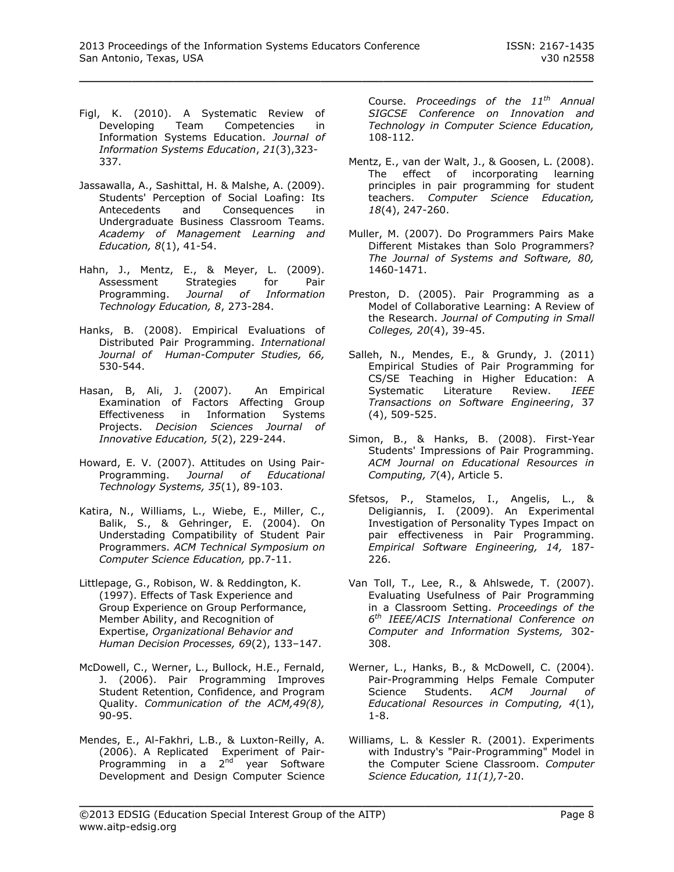- Figl, K. (2010). A Systematic Review of Developing Team Competencies in Information Systems Education. *Journal of Information Systems Education*, *21*(3),323- 337.
- Jassawalla, A., Sashittal, H. & Malshe, A. (2009). Students' Perception of Social Loafing: Its Antecedents and Consequences in Undergraduate Business Classroom Teams. *Academy of Management Learning and Education, 8*(1), 41-54.
- Hahn, J., Mentz, E., & Meyer, L. (2009). Assessment Strategies for Pair Programming. *Journal of Information Technology Education, 8*, 273-284.
- Hanks, B. (2008). Empirical Evaluations of Distributed Pair Programming. *International Journal of Human-Computer Studies, 66,*  530-544.
- Hasan, B, Ali, J. (2007). An Empirical Examination of Factors Affecting Group Effectiveness in Information Systems Projects. *Decision Sciences Journal of Innovative Education, 5*(2), 229-244.
- Howard, E. V. (2007). Attitudes on Using Pair-Programming. *Journal of Educational Technology Systems, 35*(1), 89-103.
- Katira, N., Williams, L., Wiebe, E., Miller, C., Balik, S., & Gehringer, E. (2004). On Understading Compatibility of Student Pair Programmers. *ACM Technical Symposium on Computer Science Education,* pp.7-11.
- Littlepage, G., Robison, W. & Reddington, K. (1997). Effects of Task Experience and Group Experience on Group Performance, Member Ability, and Recognition of Expertise, *Organizational Behavior and Human Decision Processes, 69*(2), 133–147.
- McDowell, C., Werner, L., Bullock, H.E., Fernald, J. (2006). Pair Programming Improves Student Retention, Confidence, and Program Quality. *Communication of the ACM,49(8),*  90-95.
- Mendes, E., Al-Fakhri, L.B., & Luxton-Reilly, A. (2006). A Replicated Experiment of Pair-Programming in a 2<sup>nd</sup> year Software Development and Design Computer Science

Course. *Proceedings of the 11th Annual SIGCSE Conference on Innovation and Technology in Computer Science Education,* 108-112.

- Mentz, E., van der Walt, J., & Goosen, L. (2008). The effect of incorporating learning principles in pair programming for student teachers. *Computer Science Education, 18*(4), 247-260.
- Muller, M. (2007). Do Programmers Pairs Make Different Mistakes than Solo Programmers? *The Journal of Systems and Software, 80,*  1460-1471.
- Preston, D. (2005). Pair Programming as a Model of Collaborative Learning: A Review of the Research. *Journal of Computing in Small Colleges, 20*(4), 39-45.
- Salleh, N., Mendes, E., & Grundy, J. (2011) Empirical Studies of Pair Programming for CS/SE Teaching in Higher Education: A Systematic Literature Review. *IEEE Transactions on Software Engineering*, 37 (4), 509-525.
- Simon, B., & Hanks, B. (2008). First-Year Students' Impressions of Pair Programming. *ACM Journal on Educational Resources in Computing, 7*(4), Article 5.
- Sfetsos, P., Stamelos, I., Angelis, L., & Deligiannis, I. (2009). An Experimental Investigation of Personality Types Impact on pair effectiveness in Pair Programming. *Empirical Software Engineering, 14,* 187- 226.
- Van Toll, T., Lee, R., & Ahlswede, T. (2007). Evaluating Usefulness of Pair Programming in a Classroom Setting. *Proceedings of the 6 th IEEE/ACIS International Conference on Computer and Information Systems,* 302- 308.
- Werner, L., Hanks, B., & McDowell, C. (2004). Pair-Programming Helps Female Computer Science Students. *ACM Journal of Educational Resources in Computing, 4*(1), 1-8.
- Williams, L. & Kessler R. (2001). Experiments with Industry's "Pair-Programming" Model in the Computer Sciene Classroom. *Computer Science Education, 11(1),*7-20.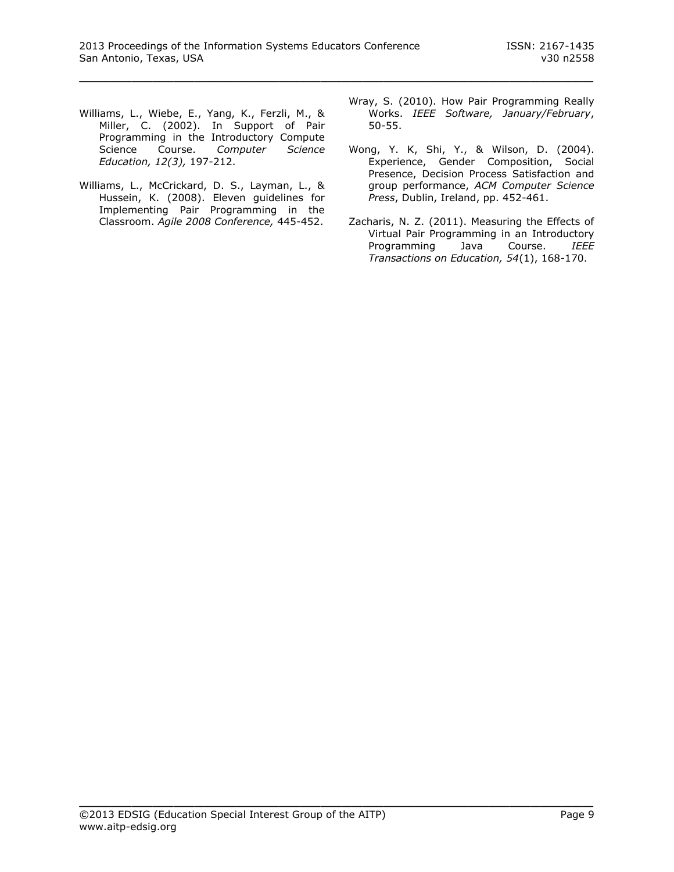- Williams, L., Wiebe, E., Yang, K., Ferzli, M., & Miller, C. (2002). In Support of Pair Programming in the Introductory Compute Science Course. *Computer Science Education, 12(3),* 197-212.
- Williams, L., McCrickard, D. S., Layman, L., & Hussein, K. (2008). Eleven guidelines for Implementing Pair Programming in the Classroom. *Agile 2008 Conference,* 445-452.
- Wray, S. (2010). How Pair Programming Really Works. *IEEE Software, January/February*, 50-55.
- Wong, Y. K, Shi, Y., & Wilson, D. (2004). Experience, Gender Composition, Social Presence, Decision Process Satisfaction and group performance, *ACM Computer Science Press*, Dublin, Ireland, pp. 452-461.
- Zacharis, N. Z. (2011). Measuring the Effects of Virtual Pair Programming in an Introductory Programming Java Course. *IEEE Transactions on Education, 54*(1), 168-170.